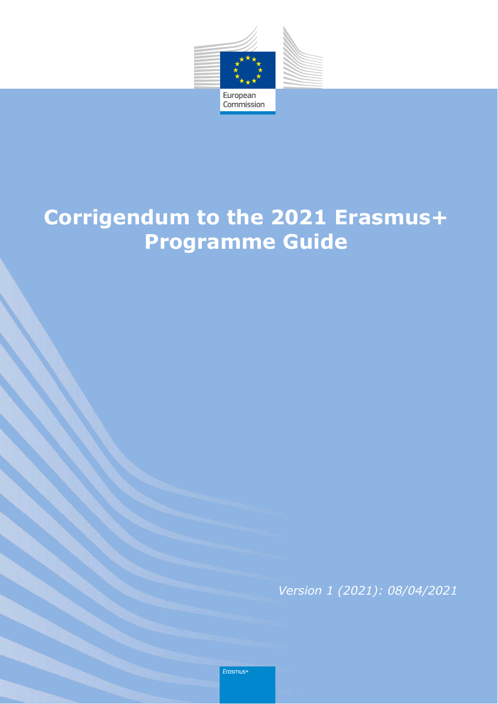

## **Corrigendum to the 2021 Erasmus+ Programme Guide**

*Version 1 (2021): 08/04/2021*

Erasmus+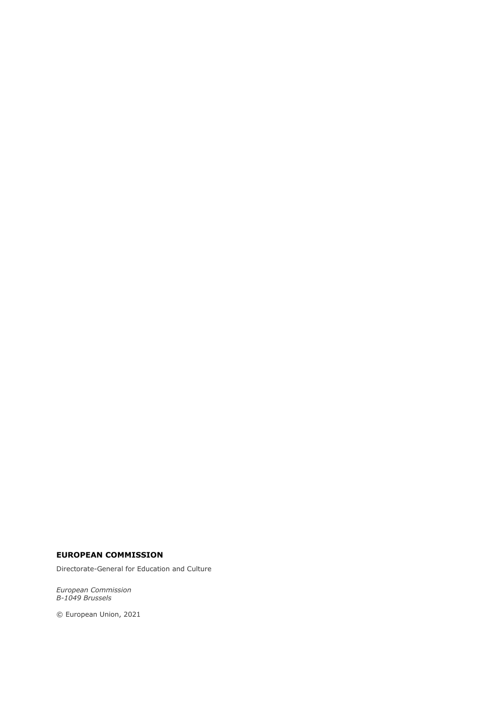#### **EUROPEAN COMMISSION**

Directorate-General for Education and Culture

*European Commission B-1049 Brussels*

© European Union, 2021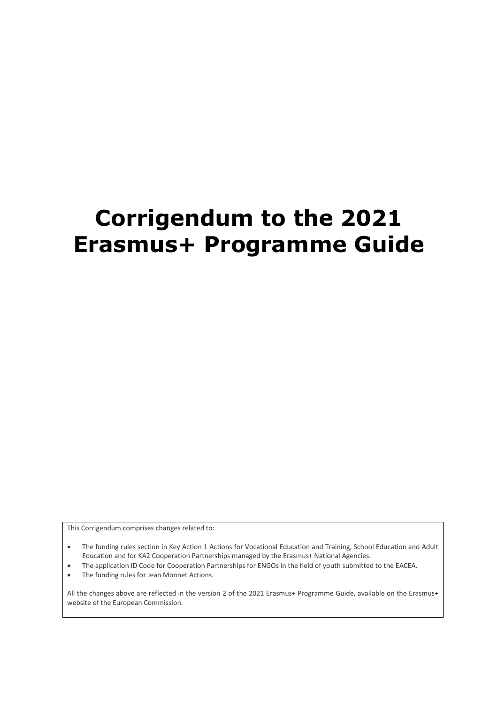# **Corrigendum to the 2021 Erasmus+ Programme Guide**

This Corrigendum comprises changes related to:

 The funding rules section in Key Action 1 Actions for Vocational Education and Training, School Education and Adult Education and for KA2 Cooperation Partnerships managed by the Erasmus+ National Agencies.

- The application ID Code for Cooperation Partnerships for ENGOs in the field of youth submitted to the EACEA.
- The funding rules for Jean Monnet Actions.

All the changes above are reflected in the version 2 of the 2021 Erasmus+ Programme Guide, available on the Erasmus+ website of the European Commission.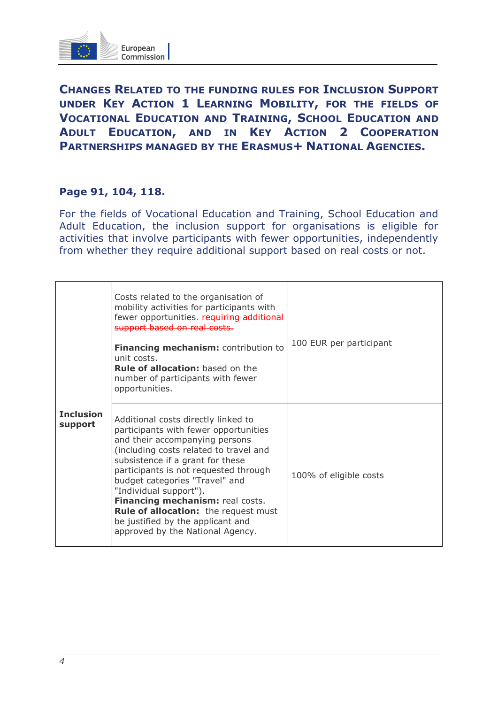

**CHANGES RELATED TO THE FUNDING RULES FOR INCLUSION SUPPORT UNDER KEY ACTION 1 LEARNING MOBILITY, FOR THE FIELDS OF VOCATIONAL EDUCATION AND TRAINING, SCHOOL EDUCATION AND ADULT EDUCATION, AND IN KEY ACTION 2 COOPERATION PARTNERSHIPS MANAGED BY THE ERASMUS+ NATIONAL AGENCIES.**

#### **Page 91, 104, 118.**

For the fields of Vocational Education and Training, School Education and Adult Education, the inclusion support for organisations is eligible for activities that involve participants with fewer opportunities, independently from whether they require additional support based on real costs or not.

| <b>Inclusion</b><br>support | Costs related to the organisation of<br>mobility activities for participants with<br>fewer opportunities. requiring additional<br>support based on real costs.<br>Financing mechanism: contribution to<br>unit costs.<br><b>Rule of allocation:</b> based on the<br>number of participants with fewer<br>opportunities.                                                                                                                                       | 100 EUR per participant |
|-----------------------------|---------------------------------------------------------------------------------------------------------------------------------------------------------------------------------------------------------------------------------------------------------------------------------------------------------------------------------------------------------------------------------------------------------------------------------------------------------------|-------------------------|
|                             | Additional costs directly linked to<br>participants with fewer opportunities<br>and their accompanying persons<br>(including costs related to travel and<br>subsistence if a grant for these<br>participants is not requested through<br>budget categories "Travel" and<br>"Individual support").<br>Financing mechanism: real costs.<br><b>Rule of allocation:</b> the request must<br>be justified by the applicant and<br>approved by the National Agency. | 100% of eligible costs  |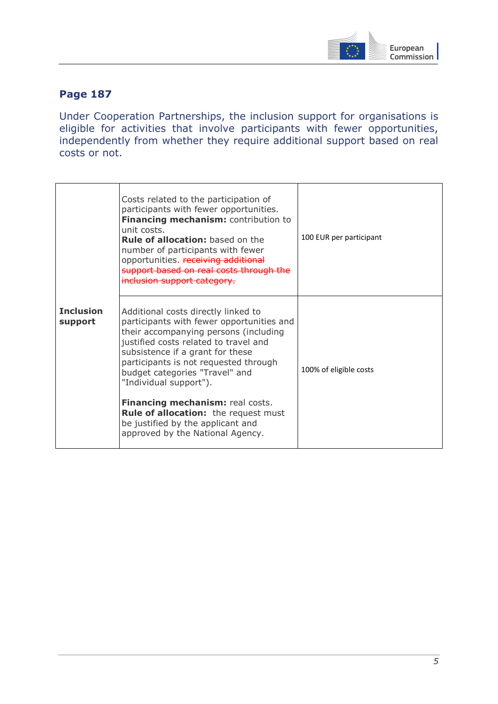

## **Page 187**

Under Cooperation Partnerships, the inclusion support for organisations is eligible for activities that involve participants with fewer opportunities, independently from whether they require additional support based on real costs or not.

|                             | Costs related to the participation of<br>participants with fewer opportunities.<br>Financing mechanism: contribution to<br>unit costs.<br><b>Rule of allocation:</b> based on the<br>number of participants with fewer<br>opportunities. receiving additional<br>support based on real costs through the<br>inclusion support category. | 100 EUR per participant |  |
|-----------------------------|-----------------------------------------------------------------------------------------------------------------------------------------------------------------------------------------------------------------------------------------------------------------------------------------------------------------------------------------|-------------------------|--|
| <b>Inclusion</b><br>support | Additional costs directly linked to<br>participants with fewer opportunities and<br>their accompanying persons (including<br>justified costs related to travel and<br>subsistence if a grant for these<br>participants is not requested through<br>budget categories "Travel" and<br>"Individual support").                             | 100% of eligible costs  |  |
|                             | Financing mechanism: real costs.<br><b>Rule of allocation:</b> the request must<br>be justified by the applicant and<br>approved by the National Agency.                                                                                                                                                                                |                         |  |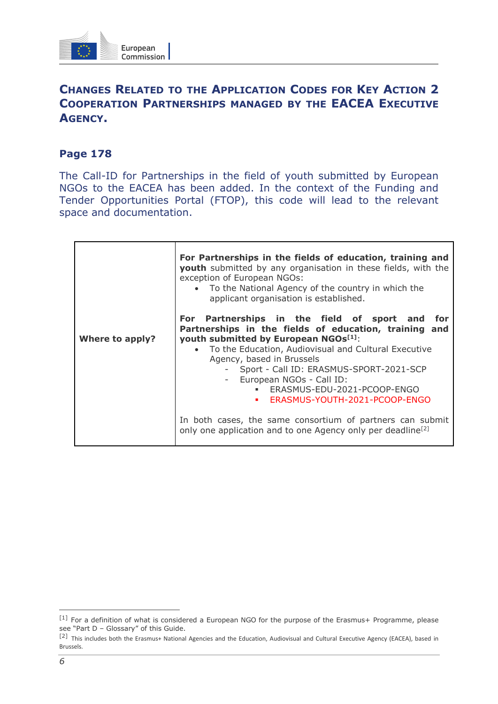

## **CHANGES RELATED TO THE APPLICATION CODES FOR KEY ACTION 2 COOPERATION PARTNERSHIPS MANAGED BY THE EACEA EXECUTIVE AGENCY.**

## **Page 178**

The Call-ID for Partnerships in the field of youth submitted by European NGOs to the EACEA has been added. In the context of the Funding and Tender Opportunities Portal (FTOP), this code will lead to the relevant space and documentation.

|                        | For Partnerships in the fields of education, training and<br><b>youth</b> submitted by any organisation in these fields, with the<br>exception of European NGOs:<br>• To the National Agency of the country in which the<br>applicant organisation is established.                                                                                                                 |
|------------------------|------------------------------------------------------------------------------------------------------------------------------------------------------------------------------------------------------------------------------------------------------------------------------------------------------------------------------------------------------------------------------------|
| <b>Where to apply?</b> | For Partnerships in the field of sport and<br>for<br>Partnerships in the fields of education, training and<br>youth submitted by European NGOs[1]:<br>To the Education, Audiovisual and Cultural Executive<br>Agency, based in Brussels<br>- Sport - Call ID: ERASMUS-SPORT-2021-SCP<br>- European NGOs - Call ID:<br>ERASMUS-EDU-2021-PCOOP-ENGO<br>ERASMUS-YOUTH-2021-PCOOP-ENGO |
|                        | In both cases, the same consortium of partners can submit<br>only one application and to one Agency only per deadline <sup>[2]</sup>                                                                                                                                                                                                                                               |

 $\overline{a}$ 

 $[1]$  For a definition of what is considered a European NGO for the purpose of the Erasmus+ Programme, please see "Part D – Glossary" of this Guide.

<sup>[2]</sup> This includes both the Erasmus+ National Agencies and the Education, Audiovisual and Cultural Executive Agency (EACEA), based in Brussels.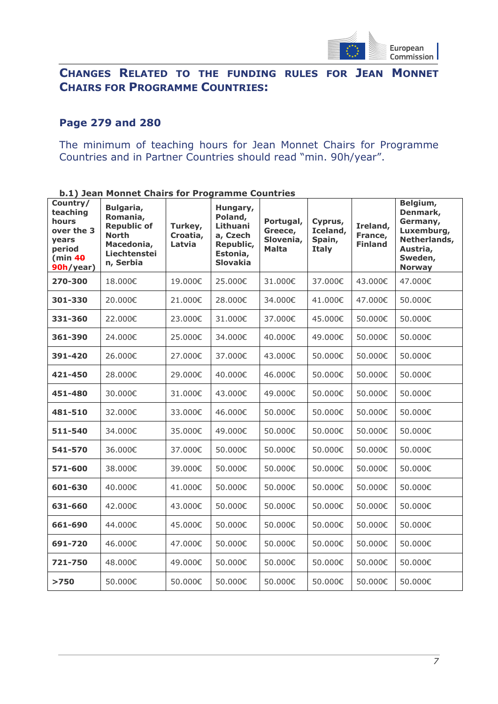

## **CHANGES RELATED TO THE FUNDING RULES FOR JEAN MONNET CHAIRS FOR PROGRAMME COUNTRIES:**

### **Page 279 and 280**

The minimum of teaching hours for Jean Monnet Chairs for Programme Countries and in Partner Countries should read "min. 90h/year".

| b.1) Jean Monnet Chairs for Programme Countries                                        |                                                                                                        |                               |                                                                                         |                                            |                                               |                                       |                                                                                                        |
|----------------------------------------------------------------------------------------|--------------------------------------------------------------------------------------------------------|-------------------------------|-----------------------------------------------------------------------------------------|--------------------------------------------|-----------------------------------------------|---------------------------------------|--------------------------------------------------------------------------------------------------------|
| Country/<br>teaching<br>hours<br>over the 3<br>vears<br>period<br>(min 40<br>90h/year) | Bulgaria,<br>Romania,<br><b>Republic of</b><br><b>North</b><br>Macedonia,<br>Liechtenstei<br>n, Serbia | Turkey,<br>Croatia,<br>Latvia | Hungary,<br>Poland,<br>Lithuani<br>a, Czech<br>Republic,<br>Estonia,<br><b>Slovakia</b> | Portugal,<br>Greece,<br>Slovenia,<br>Malta | Cyprus,<br>Iceland,<br>Spain,<br><b>Italy</b> | Ireland,<br>France,<br><b>Finland</b> | Belgium,<br>Denmark,<br>Germany,<br>Luxemburg,<br>Netherlands,<br>Austria,<br>Sweden,<br><b>Norway</b> |
| 270-300                                                                                | 18.000€                                                                                                | 19.000€                       | 25.000€                                                                                 | 31.000€                                    | 37.000€                                       | 43.000€                               | 47.000€                                                                                                |
| 301-330                                                                                | 20.000€                                                                                                | 21.000€                       | 28,000€                                                                                 | 34.000€                                    | 41.000€                                       | 47.000€                               | 50.000€                                                                                                |
| 331-360                                                                                | 22.000€                                                                                                | 23.000€                       | 31.000€                                                                                 | 37,000€                                    | 45.000€                                       | 50.000€                               | 50.000€                                                                                                |
| 361-390                                                                                | 24.000€                                                                                                | 25.000€                       | 34.000€                                                                                 | 40.000€                                    | 49.000€                                       | 50.000€                               | 50.000€                                                                                                |
| 391-420                                                                                | 26.000€                                                                                                | 27.000€                       | 37.000€                                                                                 | 43,000€                                    | 50.000€                                       | 50.000€                               | 50.000€                                                                                                |
| 421-450                                                                                | 28.000€                                                                                                | 29.000€                       | 40.000€                                                                                 | 46.000€                                    | 50,000€                                       | 50.000€                               | 50.000€                                                                                                |
| 451-480                                                                                | 30.000€                                                                                                | 31.000€                       | 43.000€                                                                                 | 49.000€                                    | 50.000€                                       | 50.000€                               | 50.000€                                                                                                |
| 481-510                                                                                | 32.000€                                                                                                | 33.000€                       | 46.000€                                                                                 | 50.000€                                    | 50.000€                                       | 50.000€                               | 50.000€                                                                                                |
| 511-540                                                                                | 34.000€                                                                                                | 35.000€                       | 49.000€                                                                                 | 50.000€                                    | 50.000€                                       | 50.000€                               | 50.000€                                                                                                |
| 541-570                                                                                | 36.000€                                                                                                | 37.000€                       | 50.000€                                                                                 | 50.000€                                    | 50.000€                                       | 50.000€                               | 50.000€                                                                                                |
| 571-600                                                                                | 38.000€                                                                                                | 39.000€                       | 50.000€                                                                                 | 50.000€                                    | 50.000€                                       | 50.000€                               | 50.000€                                                                                                |
| 601-630                                                                                | 40.000€                                                                                                | 41.000€                       | 50.000€                                                                                 | 50.000€                                    | 50.000€                                       | 50.000€                               | 50.000€                                                                                                |
| 631-660                                                                                | 42.000€                                                                                                | 43.000€                       | 50.000€                                                                                 | 50.000€                                    | 50.000€                                       | 50.000€                               | 50.000€                                                                                                |
| 661-690                                                                                | 44.000€                                                                                                | 45.000€                       | 50.000€                                                                                 | 50.000€                                    | 50.000€                                       | 50.000€                               | 50.000€                                                                                                |
| 691-720                                                                                | 46.000€                                                                                                | 47.000€                       | 50.000€                                                                                 | 50.000€                                    | 50.000€                                       | 50.000€                               | 50.000€                                                                                                |
| 721-750                                                                                | 48.000€                                                                                                | 49.000€                       | 50.000€                                                                                 | 50.000€                                    | 50.000€                                       | 50.000€                               | 50.000€                                                                                                |
| >750                                                                                   | 50.000€                                                                                                | 50.000€                       | 50.000€                                                                                 | 50.000€                                    | 50.000€                                       | 50.000€                               | 50.000€                                                                                                |

**b.1) Jean Monnet Chairs for Programme Countries**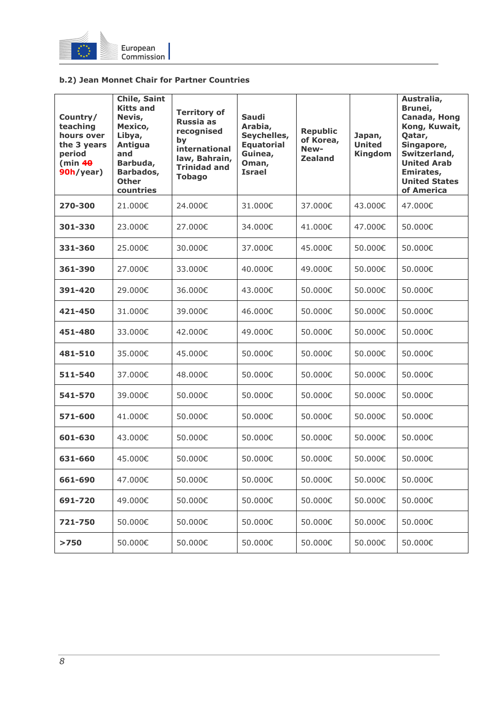

#### **b.2) Jean Monnet Chair for Partner Countries**

| Country/<br>teaching<br>hours over<br>the 3 years<br>period<br>(min 40<br>90h/year) | Chile, Saint<br><b>Kitts and</b><br>Nevis,<br>Mexico,<br>Libya,<br>Antigua<br>and<br>Barbuda,<br>Barbados,<br><b>Other</b><br>countries | <b>Territory of</b><br><b>Russia as</b><br>recognised<br>by<br>international<br>law, Bahrain,<br><b>Trinidad and</b><br><b>Tobago</b> | <b>Saudi</b><br>Arabia,<br>Seychelles,<br><b>Equatorial</b><br>Guinea,<br>Oman,<br><b>Israel</b> | <b>Republic</b><br>of Korea,<br>New-<br><b>Zealand</b> | Japan,<br><b>United</b><br><b>Kingdom</b> | Australia,<br>Brunei,<br>Canada, Hong<br>Kong, Kuwait,<br>Qatar,<br>Singapore,<br>Switzerland,<br><b>United Arab</b><br>Emirates,<br><b>United States</b><br>of America |
|-------------------------------------------------------------------------------------|-----------------------------------------------------------------------------------------------------------------------------------------|---------------------------------------------------------------------------------------------------------------------------------------|--------------------------------------------------------------------------------------------------|--------------------------------------------------------|-------------------------------------------|-------------------------------------------------------------------------------------------------------------------------------------------------------------------------|
| 270-300                                                                             | 21.000€                                                                                                                                 | 24.000€                                                                                                                               | 31.000€                                                                                          | 37.000€                                                | 43.000€                                   | 47.000€                                                                                                                                                                 |
| 301-330                                                                             | 23,000€                                                                                                                                 | 27,000€                                                                                                                               | 34,000€                                                                                          | 41,000€                                                | 47,000€                                   | 50,000€                                                                                                                                                                 |
| 331-360                                                                             | 25,000€                                                                                                                                 | 30.000€                                                                                                                               | 37,000€                                                                                          | 45,000€                                                | 50.000€                                   | 50.000€                                                                                                                                                                 |
| 361-390                                                                             | 27.000€                                                                                                                                 | 33.000€                                                                                                                               | 40.000€                                                                                          | 49.000€                                                | 50.000€                                   | 50.000€                                                                                                                                                                 |
| 391-420                                                                             | 29,000€                                                                                                                                 | 36.000€                                                                                                                               | 43.000€                                                                                          | 50.000€                                                | 50.000€                                   | 50.000€                                                                                                                                                                 |
| 421-450                                                                             | 31,000€                                                                                                                                 | 39.000€                                                                                                                               | 46,000€                                                                                          | 50.000€                                                | 50.000€                                   | 50.000€                                                                                                                                                                 |
| 451-480                                                                             | 33,000€                                                                                                                                 | 42.000€                                                                                                                               | 49,000€                                                                                          | 50.000€                                                | 50.000€                                   | 50,000€                                                                                                                                                                 |
| 481-510                                                                             | 35,000€                                                                                                                                 | 45,000€                                                                                                                               | 50,000€                                                                                          | 50,000€                                                | 50,000€                                   | 50,000€                                                                                                                                                                 |
| 511-540                                                                             | 37,000€                                                                                                                                 | 48,000€                                                                                                                               | 50,000€                                                                                          | 50,000€                                                | 50,000€                                   | 50,000€                                                                                                                                                                 |
| 541-570                                                                             | 39,000€                                                                                                                                 | 50,000€                                                                                                                               | 50,000€                                                                                          | 50.000€                                                | 50.000€                                   | 50.000€                                                                                                                                                                 |
| 571-600                                                                             | 41.000€                                                                                                                                 | 50.000€                                                                                                                               | 50.000€                                                                                          | 50.000€                                                | 50.000€                                   | 50.000€                                                                                                                                                                 |
| 601-630                                                                             | 43.000€                                                                                                                                 | 50,000€                                                                                                                               | 50.000€                                                                                          | 50,000€                                                | 50,000€                                   | 50.000€                                                                                                                                                                 |
| 631-660                                                                             | 45.000€                                                                                                                                 | 50,000€                                                                                                                               | 50,000€                                                                                          | 50,000€                                                | 50.000€                                   | 50.000€                                                                                                                                                                 |
| 661-690                                                                             | 47.000€                                                                                                                                 | 50.000€                                                                                                                               | 50.000€                                                                                          | 50.000€                                                | 50.000€                                   | 50.000€                                                                                                                                                                 |
| 691-720                                                                             | 49,000€                                                                                                                                 | 50.000€                                                                                                                               | 50.000€                                                                                          | 50.000€                                                | 50.000€                                   | 50.000€                                                                                                                                                                 |
| 721-750                                                                             | 50.000€                                                                                                                                 | 50.000€                                                                                                                               | 50.000€                                                                                          | 50.000€                                                | 50.000€                                   | 50.000€                                                                                                                                                                 |
| >750                                                                                | 50.000€                                                                                                                                 | 50.000€                                                                                                                               | 50.000€                                                                                          | 50.000€                                                | 50.000€                                   | 50.000€                                                                                                                                                                 |